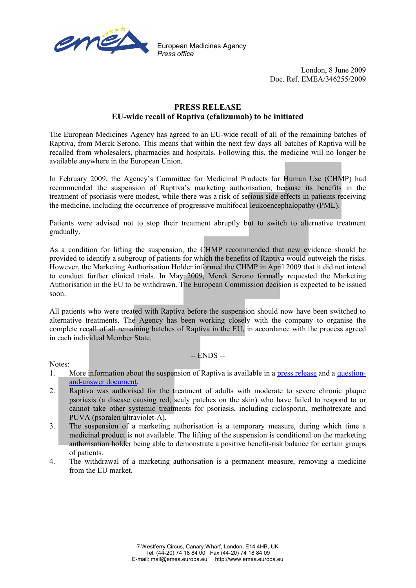

European Medicines Agency *Press office*

> London, 8 June 2009 Doc. Ref. EMEA/346255/2009

## **PRESS RELEASE EU-wide recall of Raptiva (efalizumab) to be initiated**

The European Medicines Agency has agreed to an EU-wide recall of all of the remaining batches of Raptiva, from Merck Serono. This means that within the next few days all batches of Raptiva will be recalled from wholesalers, pharmacies and hospitals. Following this, the medicine will no longer be available anywhere in the European Union.

In February 2009, the Agency's Committee for Medicinal Products for Human Use (CHMP) had recommended the suspension of Raptiva's marketing authorisation, because its benefits in the treatment of psoriasis were modest, while there was a risk of serious side effects in patients receiving the medicine, including the occurrence of progressive multifocal leukoencephalopathy (PML).

Patients were advised not to stop their treatment abruptly but to switch to alternative treatment gradually.

As a condition for lifting the suspension, the CHMP recommended that new evidence should be provided to identify a subgroup of patients for which the benefits of Raptiva would outweigh the risks. However, the Marketing Authorisation Holder informed the CHMP in April 2009 that it did not intend to conduct further clinical trials. In May 2009, Merck Serono formally requested the Marketing Authorisation in the EU to be withdrawn. The European Commission decision is expected to be issued soon.

All patients who were treated with Raptiva before the suspension should now have been switched to alternative treatments. The Agency has been working closely with the company to organise the complete recall of all remaining batches of Raptiva in the EU, in accordance with the process agreed in each individual Member State.

-- ENDS --

Notes:

- 1. More information about the suspension of Raptiva is available in a press release and a questionand-answer document.
- 2. Raptiva was authorised for the treatment of adults with moderate to severe chronic plaque psoriasis (a disease causing red, scaly patches on the skin) who have failed to respond to or cannot take other systemic treatments for psoriasis, including ciclosporin, methotrexate and PUVA (psoralen ultraviolet-A).
- 3. The suspension of a marketing authorisation is a temporary measure, during which time a medicinal product is not available. The lifting of the suspension is conditional on the marketing authorisation holder being able to demonstrate a positive benefit-risk balance for certain groups of patients.
- 4. The withdrawal of a marketing authorisation is a permanent measure, removing a medicine from the EU market.